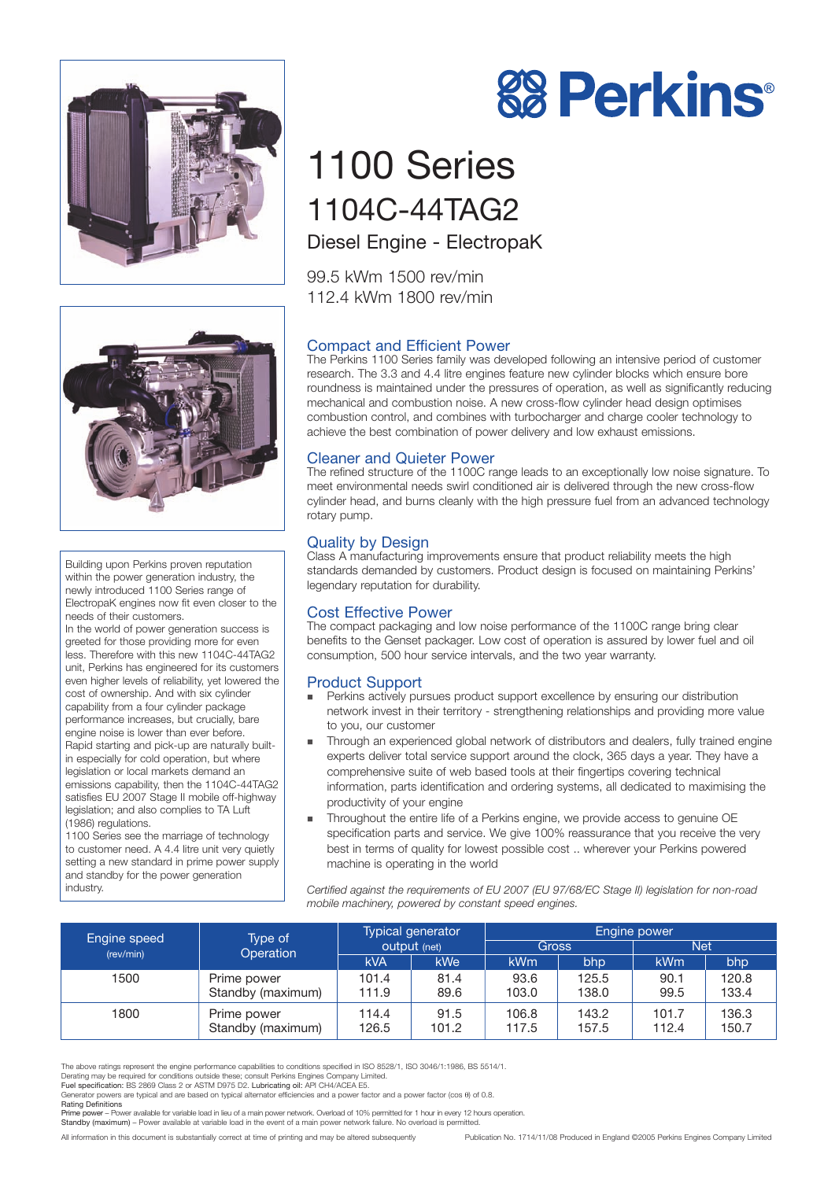



Building upon Perkins proven reputation within the power generation industry, the newly introduced 1100 Series range of ElectropaK engines now fit even closer to the needs of their customers.

In the world of power generation success is greeted for those providing more for even less. Therefore with this new 1104C-44TAG2 unit, Perkins has engineered for its customers even higher levels of reliability, yet lowered the cost of ownership. And with six cylinder capability from a four cylinder package performance increases, but crucially, bare engine noise is lower than ever before. Rapid starting and pick-up are naturally builtin especially for cold operation, but where legislation or local markets demand an emissions capability, then the 1104C-44TAG2 satisfies EU 2007 Stage II mobile off-highway legislation; and also complies to TA Luft (1986) regulations.

1100 Series see the marriage of technology to customer need. A 4.4 litre unit very quietly setting a new standard in prime power supply and standby for the power generation industry.

# **88 Perkins®**

# 1100 Series 1104C-44TAG2 Diesel Engine - ElectropaK

99.5 kWm 1500 rev/min 112.4 kWm 1800 rev/min

# Compact and Efficient Power

The Perkins 1100 Series family was developed following an intensive period of customer research. The 3.3 and 4.4 litre engines feature new cylinder blocks which ensure bore roundness is maintained under the pressures of operation, as well as significantly reducing mechanical and combustion noise. A new cross-flow cylinder head design optimises combustion control, and combines with turbocharger and charge cooler technology to achieve the best combination of power delivery and low exhaust emissions.

# Cleaner and Quieter Power

The refined structure of the 1100C range leads to an exceptionally low noise signature. To meet environmental needs swirl conditioned air is delivered through the new cross-flow cylinder head, and burns cleanly with the high pressure fuel from an advanced technology rotary pump.

# Quality by Design

Class A manufacturing improvements ensure that product reliability meets the high standards demanded by customers. Product design is focused on maintaining Perkins' legendary reputation for durability.

### Cost Effective Power

The compact packaging and low noise performance of the 1100C range bring clear benefits to the Genset packager. Low cost of operation is assured by lower fuel and oil consumption, 500 hour service intervals, and the two year warranty.

# Product Support

- - Perkins actively pursues product support excellence by ensuring our distribution network invest in their territory - strengthening relationships and providing more value to you, our customer
- - Through an experienced global network of distributors and dealers, fully trained engine experts deliver total service support around the clock, 365 days a year. They have a comprehensive suite of web based tools at their fingertips covering technical information, parts identification and ordering systems, all dedicated to maximising the productivity of your engine
- - Throughout the entire life of a Perkins engine, we provide access to genuine OE specification parts and service. We give 100% reassurance that you receive the very best in terms of quality for lowest possible cost .. wherever your Perkins powered machine is operating in the world

*Certified against the requirements of EU 2007 (EU 97/68/EC Stage II) legislation for non-road mobile machinery, powered by constant speed engines.*

| Engine speed<br>(rev/min) | Type of<br>Operation             | Typical generator<br>output (net) |               | Engine power   |                |                |                |
|---------------------------|----------------------------------|-----------------------------------|---------------|----------------|----------------|----------------|----------------|
|                           |                                  |                                   |               | <b>Gross</b>   |                | <b>Net</b>     |                |
|                           |                                  | <b>kVA</b>                        | <b>kWe</b>    | <b>kWm</b>     | bhp            | kWm            | bhp            |
| 1500                      | Prime power<br>Standby (maximum) | 101.4<br>111.9                    | 81.4<br>89.6  | 93.6<br>103.0  | 125.5<br>138.0 | 90.1<br>99.5   | 120.8<br>133.4 |
| 1800                      | Prime power<br>Standby (maximum) | 114.4<br>126.5                    | 91.5<br>101.2 | 106.8<br>117.5 | 143.2<br>157.5 | 101.7<br>112.4 | 136.3<br>150.7 |

The above ratings represent the engine performance capabilities to conditions specified in ISO 8528/1, ISO 3046/1:1986, BS 5514/1.

Derating may be required for conditions outside these; consult Perkins Engines Company Limited.<br>Fuel specification: BS 2869 Class 2 or ASTM D975 D2. Lubricating oil: API CH4/ACEA E5.

Prime power – Power available for variable load in lieu of a main power network. Overload of 10% permitted for 1 hour in every 12 hours operation.

Standby (maximum) – Power available at variable load in the event of a main power network failure. No overload is permitted.

Generator powers are typical and are based on typical alternator efficiencies and a power factor and a power factor (cos θ) of 0.8. Rating Definitions